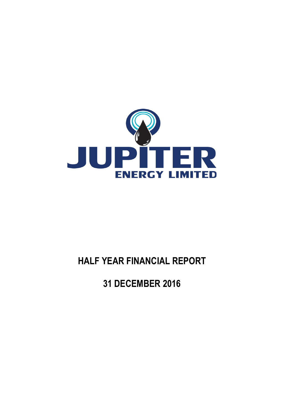

# **HALF YEAR FINANCIAL REPORT**

**31 DECEMBER 2016**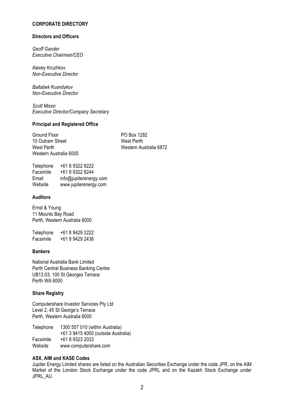### **CORPORATE DIRECTORY**

### **Directors and Officers**

*Geoff Gander Executive Chairman/CEO*

Alexey Kruzhkov *Non-Executive Director*

*Baltabek Kuandykov Non-Executive Director*

*Scott Mison Executive Director/Company Secretary* 

#### **Principal and Registered Office**

Ground Floor **PO Box 1282** 10 Outram Street West Perth Western Australia 6005

West Perth Western Australia 6872

| Telephone | +61 8 9322 8222        |
|-----------|------------------------|
| Facsimile | +61 8 9322 8244        |
| Email     | info@jupiterenergy.com |
| Website   | www.jupiterenergy.com  |

### **Auditors**

Ernst & Young 11 Mounts Bay Road Perth, Western Australia 6000

Telephone +61 8 9429 2222<br>Facsimile +61 8 9429 2436 Facsimile +61 8 9429 2436

### **Bankers**

National Australia Bank Limited Perth Central Business Banking Centre UB13.03, 100 St Georges Terrace Perth WA 6000

### **Share Registry**

Computershare Investor Services Pty Ltd Level 2, 45 St George's Terrace Perth, Western Australia 6000

Telephone 1300 557 010 (within Australia) +61 3 9415 4000 (outside Australia) Facsimile +61 8 9323 2033 Website www.computershare.com

### **ASX, AIM and KASE Codes**

Jupiter Energy Limited shares are listed on the Australian Securities Exchange under the code JPR, on the AIM Market of the London Stock Exchange under the code JPRL and on the Kazakh Stock Exchange under JPRL\_AU.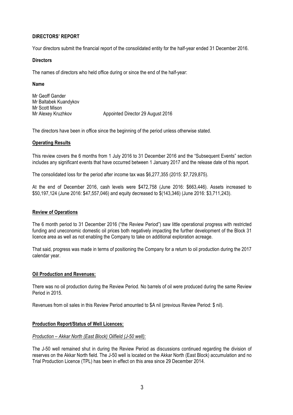### **DIRECTORS' REPORT**

Your directors submit the financial report of the consolidated entity for the half-year ended 31 December 2016.

### **Directors**

The names of directors who held office during or since the end of the half-year:

### **Name**

Mr Geoff Gander Mr Baltabek Kuandykov Mr Scott Mison Mr Alexey Kruzhkov **Appointed Director 29 August 2016** 

The directors have been in office since the beginning of the period unless otherwise stated.

### **Operating Results**

This review covers the 6 months from 1 July 2016 to 31 December 2016 and the "Subsequent Events" section includes any significant events that have occurred between 1 January 2017 and the release date of this report.

The consolidated loss for the period after income tax was \$6,277,355 (2015: \$7,729,875).

At the end of December 2016, cash levels were \$472,758 (June 2016: \$663,446). Assets increased to \$50,197,124 (June 2016: \$47,557,046) and equity decreased to \$(143,346) (June 2016: \$3,711,243).

### **Review of Operations**

The 6 month period to 31 December 2016 ("the Review Period") saw little operational progress with restricted funding and uneconomic domestic oil prices both negatively impacting the further development of the Block 31 licence area as well as not enabling the Company to take on additional exploration acreage.

That said, progress was made in terms of positioning the Company for a return to oil production during the 2017 calendar year.

### **Oil Production and Revenues:**

There was no oil production during the Review Period. No barrels of oil were produced during the same Review Period in 2015.

Revenues from oil sales in this Review Period amounted to \$A nil (previous Review Period: \$ nil).

### **Production Report/Status of Well Licences:**

### *Production – Akkar North (East Block) Oilfield (J-50 well):*

The J-50 well remained shut in during the Review Period as discussions continued regarding the division of reserves on the Akkar North field. The J-50 well is located on the Akkar North (East Block) accumulation and no Trial Production Licence (TPL) has been in effect on this area since 29 December 2014.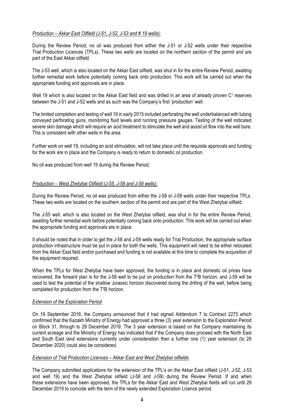### *Production – Akkar East Oilfield (J-51, J-52, J-53 and # 19 wells):*

During the Review Period, no oil was produced from either the J-51 or J-52 wells under their respective Trial Production Licences (TPLs). These two wells are located on the northern section of the permit and are part of the East Akkar oilfield.

The J-53 well, which is also located on the Akkar East oilfield, was shut in for the entire Review Period, awaiting further remedial work before potentially coming back onto production. This work will be carried out when the appropriate funding and approvals are in place.

Well 19 which is also located on the Akkar East field and was drilled in an area of already proven C<sup>1</sup> reserves between the J-51 and J-52 wells and as such was the Company's first 'production' well.

The limited completion and testing of well 19 in early 2015 included perforating the well underbalanced with tubing conveyed perforating guns, monitoring fluid levels and running pressure gauges. Testing of the well indicated severe skin damage which will require an acid treatment to stimulate the well and assist oil flow into the well bore. This is consistent with other wells in the area.

Further work on well 19, including an acid stimulation, will not take place until the requisite approvals and funding for the work are in place and the Company is ready to return to domestic oil production.

No oil was produced from well 19 during the Review Period.

#### *Production – West Zhetybai Oilfield (J-55, J-58 and J-59 wells):*

During the Review Period, no oil was produced from either the J-58 or J-59 wells under their respective TPLs. These two wells are located on the southern section of the permit and are part of the West Zhetybai oilfield.

The J-55 well, which is also located on the West Zhetybai oilfield, was shut in for the entire Review Period, awaiting further remedial work before potentially coming back onto production. This work will be carried out when the appropriate funding and approvals are in place.

It should be noted that in order to get the J-58 and J-59 wells ready for Trial Production, the appropriate surface production infrastructure must be put in place for both the wells. This equipment will need to be either relocated from the Akkar East field and/or purchased and funding is not available at this time to complete the acquisition of the equipment required.

When the TPLs for West Zhetybai have been approved, the funding is in place and domestic oil prices have recovered, the forward plan is for the J-58 well to be put on production from the T2B horizon, and J-59 will be used to test the potential of the shallow Jurassic horizon discovered during the drilling of the well, before being completed for production from the T2B horizon.

### *Extension of the Exploration Period*

On 19 September 2016, the Company announced that it had signed Addendum 7 to Contract 2275 which confirmed that the Kazakh Ministry of Energy had approved a three (3) year extension to the Exploration Period on Block 31, through to 29 December 2019. The 3 year extension is based on the Company maintaining its current acreage and the Ministry of Energy has indicated that if the Company does proceed with the North East and South East land extensions currently under consideration then a further one (1) year extension (to 29 December 2020) could also be considered.

#### *Extension of Trial Production Licences – Akkar East and West Zhetybai oilfields*

The Company submitted applications for the extension of the TPL's on the Akkar East oilfield (J-51, J-52, J-53 and well 19) and the West Zhetybai oilfield (J-58 and J-59) during the Review Period. If and when these extensions have been approved, the TPLs for the Akkar East and West Zhetybai fields will run until 29 December 2019 to coincide with the term of the newly extended Exploration Licence period.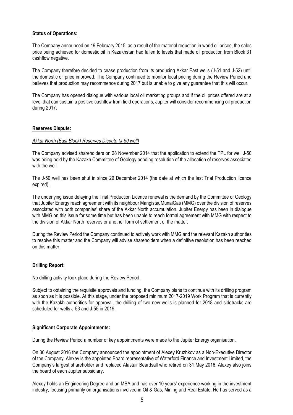### **Status of Operations:**

The Company announced on 19 February 2015, as a result of the material reduction in world oil prices, the sales price being achieved for domestic oil in Kazakhstan had fallen to levels that made oil production from Block 31 cashflow negative.

The Company therefore decided to cease production from its producing Akkar East wells (J-51 and J-52) until the domestic oil price improved. The Company continued to monitor local pricing during the Review Period and believes that production may recommence during 2017 but is unable to give any guarantee that this will occur.

The Company has opened dialogue with various local oil marketing groups and if the oil prices offered are at a level that can sustain a positive cashflow from field operations, Jupiter will consider recommencing oil production during 2017.

### **Reserves Dispute:**

### *Akkar North (East Block) Reserves Dispute (J-50 well)*

The Company advised shareholders on 28 November 2014 that the application to extend the TPL for well J-50 was being held by the Kazakh Committee of Geology pending resolution of the allocation of reserves associated with the well.

The J-50 well has been shut in since 29 December 2014 (the date at which the last Trial Production licence expired).

The underlying issue delaying the Trial Production Licence renewal is the demand by the Committee of Geology that Jupiter Energy reach agreement with its neighbour MangistauMunaiGas (MMG) over the division of reserves associated with both companies' share of the Akkar North accumulation. Jupiter Energy has been in dialogue with MMG on this issue for some time but has been unable to reach formal agreement with MMG with respect to the division of Akkar North reserves or another form of settlement of the matter.

During the Review Period the Company continued to actively work with MMG and the relevant Kazakh authorities to resolve this matter and the Company will advise shareholders when a definitive resolution has been reached on this matter.

### **Drilling Report:**

No drilling activity took place during the Review Period.

Subject to obtaining the requisite approvals and funding, the Company plans to continue with its drilling program as soon as it is possible. At this stage, under the proposed minimum 2017-2019 Work Program that is currently with the Kazakh authorities for approval, the drilling of two new wells is planned for 2018 and sidetracks are scheduled for wells J-53 and J-55 in 2019.

### **Significant Corporate Appointments:**

During the Review Period a number of key appointments were made to the Jupiter Energy organisation.

On 30 August 2016 the Company announced the appointment of Alexey Kruzhkov as a Non-Executive Director of the Company. Alexey is the appointed Board representative of Waterford Finance and Investment Limited, the Company's largest shareholder and replaced Alastair Beardsall who retired on 31 May 2016. Alexey also joins the board of each Jupiter subsidiary.

Alexey holds an Engineering Degree and an MBA and has over 10 years' experience working in the investment industry, focusing primarily on organisations involved in Oil & Gas, Mining and Real Estate. He has served as a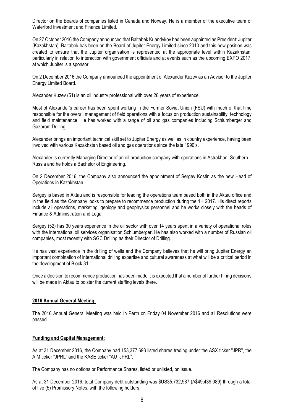Director on the Boards of companies listed in Canada and Norway. He is a member of the executive team of Waterford Investment and Finance Limited.

On 27 October 2016 the Company announced that Baltabek Kuandykov had been appointed as President: Jupiter (Kazakhstan). Baltabek has been on the Board of Jupiter Energy Limited since 2010 and this new position was created to ensure that the Jupiter organisation is represented at the appropriate level within Kazakhstan, particularly in relation to interaction with government officials and at events such as the upcoming EXPO 2017, at which Jupiter is a sponsor.

On 2 December 2016 the Company announced the appointment of Alexander Kuzev as an Advisor to the Jupiter Energy Limited Board.

Alexander Kuzev (51) is an oil industry professional with over 26 years of experience.

Most of Alexander's career has been spent working in the Former Soviet Union (FSU) with much of that time responsible for the overall management of field operations with a focus on production sustainability, technology and field maintenance. He has worked with a range of oil and gas companies including Schlumberger and Gazprom Drilling.

Alexander brings an important technical skill set to Jupiter Energy as well as in country experience, having been involved with various Kazakhstan based oil and gas operations since the late 1990's.

Alexander is currently Managing Director of an oil production company with operations in Astrakhan, Southern Russia and he holds a Bachelor of Engineering.

On 2 December 2016, the Company also announced the appointment of Sergey Kostin as the new Head of Operations in Kazakhstan.

Sergey is based in Aktau and is responsible for leading the operations team based both in the Aktau office and in the field as the Company looks to prepare to recommence production during the 1H 2017. His direct reports include all operations, marketing, geology and geophysics personnel and he works closely with the heads of Finance & Administration and Legal.

Sergey (52) has 30 years experience in the oil sector with over 14 years spent in a variety of operational roles with the international oil services organisation Schlumberger. He has also worked with a number of Russian oil companies, most recently with SGC Drilling as their Director of Drilling.

He has vast experience in the drilling of wells and the Company believes that he will bring Jupiter Energy an important combination of international drilling expertise and cultural awareness at what will be a critical period in the development of Block 31.

Once a decision to recommence production has been made it is expected that a number of further hiring decisions will be made in Aktau to bolster the current staffing levels there.

### **2016 Annual General Meeting:**

The 2016 Annual General Meeting was held in Perth on Friday 04 November 2016 and all Resolutions were passed.

### **Funding and Capital Management:**

As at 31 December 2016, the Company had 153,377,693 listed shares trading under the ASX ticker "JPR", the AIM ticker "JPRL" and the KASE ticker "AU\_JPRL".

The Company has no options or Performance Shares, listed or unlisted, on issue.

As at 31 December 2016, total Company debt outstanding was \$US35,732,987 (A\$49,439,089) through a total of five (5) Promissory Notes, with the following holders: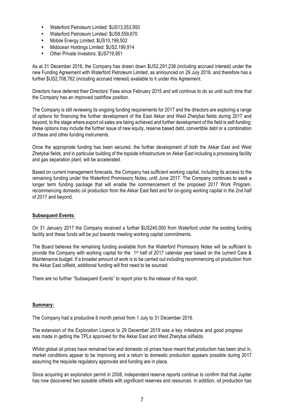- Waterford Petroleum Limited: \$US13,053,950
- Waterford Petroleum Limited: \$US9,559,670
- Mobile Energy Limited: \$US10,199,502
- Midocean Holdings Limited: \$US2,199,914
- Other Private Investors: \$US719,951

As at 31 December 2016, the Company has drawn down \$US2,291,238 (including accrued interest) under the new Funding Agreement with Waterford Petroleum Limited, as announced on 29 July 2016, and therefore has a further \$US2,708,762 (including accrued interest) available to it under this Agreement.

Directors have deferred their Directors' Fees since February 2015 and will continue to do so until such time that the Company has an improved cashflow position.

The Company is still reviewing its ongoing funding requirements for 2017 and the directors are exploring a range of options for financing the further development of the East Akkar and West Zhetybai fields during 2017 and beyond, to the stage where export oil sales are being achieved and further development of the field is self-funding; these options may include the further issue of new equity, reserve based debt, convertible debt or a combination of these and other funding instruments.

Once the appropriate funding has been secured, the further development of both the Akkar East and West Zhetybai fields, and in particular building of the topside infrastructure on Akkar East including a processing facility and gas separation plant, will be accelerated.

Based on current management forecasts, the Company has sufficient working capital, including its access to the remaining funding under the Waterford Promissory Notes, until June 2017. The Company continues to seek a longer term funding package that will enable the commencement of the proposed 2017 Work Program, recommencing domestic oil production from the Akkar East field and for on-going working capital in the 2nd half of 2017 and beyond.

### **Subsequent Events:**

On 31 January 2017 the Company received a further \$US240,000 from Waterford under the existing funding facility and these funds will be put towards meeting working capital commitments.

The Board believes the remaining funding available from the Waterford Promissory Notes will be sufficient to provide the Company with working capital for the 1<sup>st</sup> half of 2017 calendar year based on the current Care & Maintenance budget. If a broader amount of work is to be carried out including recommencing oil production from the Akkar East oilfield, additional funding will first need to be sourced.

There are no further "Subsequent Events" to report prior to the release of this report.

### **Summary:**

The Company had a productive 6 month period from 1 July to 31 December 2016.

The extension of the Exploration Licence to 29 December 2019 was a key milestone and good progress was made in getting the TPLs approved for the Akkar East and West Zhetybai oilfields.

Whilst global oil prices have remained low and domestic oil prices have meant that production has been shut in, market conditions appear to be improving and a return to domestic production appears possible during 2017 assuming the requisite regulatory approvals and funding are in place.

Since acquiring an exploration permit in 2008, independent reserve reports continue to confirm that that Jupiter has now discovered two sizeable oilfields with significant reserves and resources. In addition, oil production has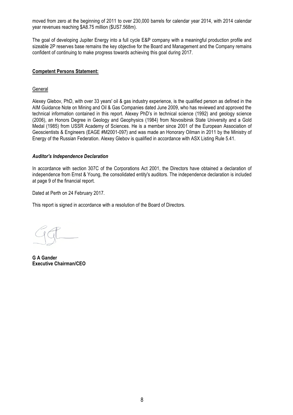moved from zero at the beginning of 2011 to over 230,000 barrels for calendar year 2014, with 2014 calendar year revenues reaching \$A8.75 million (\$US7.568m).

The goal of developing Jupiter Energy into a full cycle E&P company with a meaningful production profile and sizeable 2P reserves base remains the key objective for the Board and Management and the Company remains confident of continuing to make progress towards achieving this goal during 2017.

### **Competent Persons Statement:**

### **General**

Alexey Glebov, PhD, with over 33 years' oil & gas industry experience, is the qualified person as defined in the AIM Guidance Note on Mining and Oil & Gas Companies dated June 2009, who has reviewed and approved the technical information contained in this report. Alexey PhD's in technical science (1992) and geology science (2006), an Honors Degree in Geology and Geophysics (1984) from Novosibirsk State University and a Gold Medal (1985) from USSR Academy of Sciences. He is a member since 2001 of the European Association of Geoscientists & Engineers (EAGE #M2001-097) and was made an Honorary Oilman in 2011 by the Ministry of Energy of the Russian Federation. Alexey Glebov is qualified in accordance with ASX Listing Rule 5.41.

### *Auditor's Independence Declaration*

In accordance with section 307C of the Corporations Act 2001, the Directors have obtained a declaration of independence from Ernst & Young, the consolidated entity's auditors. The independence declaration is included at page 9 of the financial report.

Dated at Perth on 24 February 2017.

This report is signed in accordance with a resolution of the Board of Directors.

**G A Gander Executive Chairman/CEO**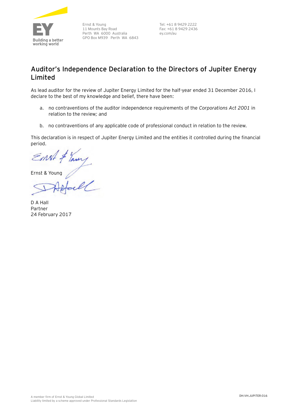

Ernst & Young 11 Mounts Bay Road Perth WA 6000 Australia GPO Box M939 Perth WA 6843

Tel: +61 8 9429 2222 Fax: +61 8 9429 2436 ey.com/au

## **Auditor's Independence Declaration to the Directors of Jupiter Energy Limited**

As lead auditor for the review of Jupiter Energy Limited for the half-year ended 31 December 2016, I declare to the best of my knowledge and belief, there have been:

- a. no contraventions of the auditor independence requirements of the *Corporations Act 2001* in relation to the review*;* and
- b. no contraventions of any applicable code of professional conduct in relation to the review.

This declaration is in respect of Jupiter Energy Limited and the entities it controlled during the financial period.

Ernst & Young

D A Hall Partner 24 February 2017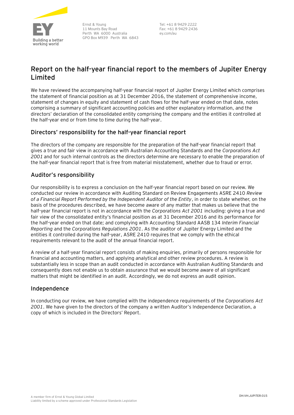

Ernst & Young 11 Mounts Bay Road Perth WA 6000 Australia GPO Box M939 Perth WA 6843

Tel: +61 8 9429 2222 Fax: +61 8 9429 2436 ey.com/au

# **Report on the half-year financial report to the members of Jupiter Energy Limited**

We have reviewed the accompanying half-year financial report of Jupiter Energy Limited which comprises the statement of financial position as at 31 December 2016, the statement of comprehensive income, statement of changes in equity and statement of cash flows for the half-year ended on that date, notes comprising a summary of significant accounting policies and other explanatory information, and the directors' declaration of the consolidated entity comprising the company and the entities it controlled at the half-year end or from time to time during the half-year.

### **Directors' responsibility for the half-year financial report**

The directors of the company are responsible for the preparation of the half-year financial report that gives a true and fair view in accordance with Australian Accounting Standards and the *Corporations Act 2001* and for such internal controls as the directors determine are necessary to enable the preparation of the half-year financial report that is free from material misstatement, whether due to fraud or error.

### **Auditor's responsibility**

Our responsibility is to express a conclusion on the half-year financial report based on our review. We conducted our review in accordance with Auditing Standard on Review Engagements ASRE 2410 *Review of a Financial Report Performed by the Independent Auditor of the Entity*, in order to state whether, on the basis of the procedures described, we have become aware of any matter that makes us believe that the half-year financial report is not in accordance with the *Corporations Act 2001* including: giving a true and fair view of the consolidated entity's financial position as at 31 December 2016 and its performance for the half-year ended on that date; and complying with Accounting Standard AASB 134 *Interim Financial Reporting* and the *Corporations Regulations 2001*. As the auditor of Jupiter Energy Limited and the entities it controlled during the half-year, ASRE 2410 requires that we comply with the ethical requirements relevant to the audit of the annual financial report.

A review of a half-year financial report consists of making enquiries, primarily of persons responsible for financial and accounting matters, and applying analytical and other review procedures. A review is substantially less in scope than an audit conducted in accordance with Australian Auditing Standards and consequently does not enable us to obtain assurance that we would become aware of all significant matters that might be identified in an audit. Accordingly, we do not express an audit opinion.

### **Independence**

In conducting our review, we have complied with the independence requirements of the *Corporations Act 2001*. We have given to the directors of the company a written Auditor's Independence Declaration, a copy of which is included in the Directors' Report.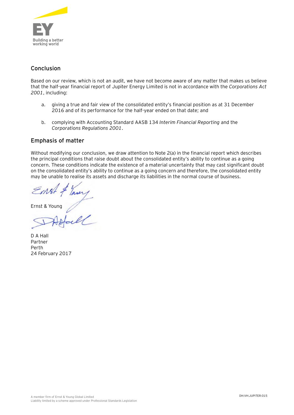

### **Conclusion**

Based on our review, which is not an audit, we have not become aware of any matter that makes us believe that the half-year financial report of Jupiter Energy Limited is not in accordance with the *Corporations Act 2001*, including:

- a. giving a true and fair view of the consolidated entity's financial position as at 31 December 2016 and of its performance for the half-year ended on that date; and
- b. complying with Accounting Standard AASB 134 *Interim Financial Reporting* and the *Corporations Regulations 2001*.

### **Emphasis of matter**

Without modifying our conclusion, we draw attention to Note 2(a) in the financial report which describes the principal conditions that raise doubt about the consolidated entity's ability to continue as a going concern. These conditions indicate the existence of a material uncertainty that may cast significant doubt on the consolidated entity's ability to continue as a going concern and therefore, the consolidated entity may be unable to realise its assets and discharge its liabilities in the normal course of business.

Ernst & Young

D A Hall Partner Perth 24 February 2017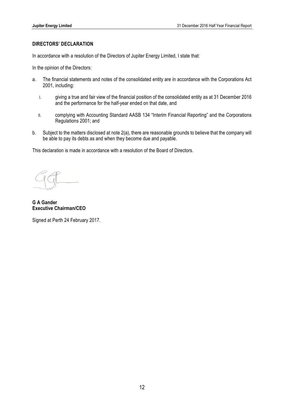### **DIRECTORS' DECLARATION**

In accordance with a resolution of the Directors of Jupiter Energy Limited, I state that:

In the opinion of the Directors:

- a. The financial statements and notes of the consolidated entity are in accordance with the Corporations Act 2001, including:
	- I. giving a true and fair view of the financial position of the consolidated entity as at 31 December 2016 and the performance for the half-year ended on that date, and
	- II. complying with Accounting Standard AASB 134 "Interim Financial Reporting" and the Corporations Regulations 2001; and
- b. Subject to the matters disclosed at note 2(a), there are reasonable grounds to believe that the company will be able to pay its debts as and when they become due and payable.

This declaration is made in accordance with a resolution of the Board of Directors.

**G A Gander Executive Chairman/CEO**

Signed at Perth 24 February 2017.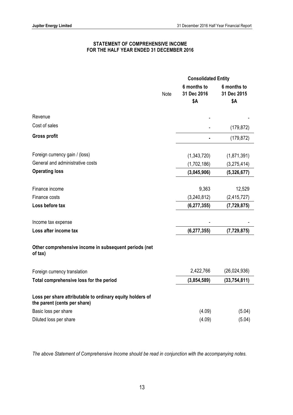### **STATEMENT OF COMPREHENSIVE INCOME FOR THE HALF YEAR ENDED 31 DECEMBER 2016**

|                                                                                           |      | <b>Consolidated Entity</b>        |                                   |
|-------------------------------------------------------------------------------------------|------|-----------------------------------|-----------------------------------|
|                                                                                           | Note | 6 months to<br>31 Dec 2016<br>\$Α | 6 months to<br>31 Dec 2015<br>\$Α |
| Revenue                                                                                   |      |                                   |                                   |
| Cost of sales                                                                             |      |                                   | (179, 872)                        |
| <b>Gross profit</b>                                                                       |      |                                   | (179, 872)                        |
| Foreign currency gain / (loss)                                                            |      | (1,343,720)                       | (1,871,391)                       |
| General and administrative costs                                                          |      | (1,702,186)                       | (3,275,414)                       |
| <b>Operating loss</b>                                                                     |      | (3,045,906)                       | (5,326,677)                       |
| Finance income                                                                            |      | 9,363                             | 12,529                            |
| Finance costs                                                                             |      | (3,240,812)                       | (2,415,727)                       |
| Loss before tax                                                                           |      | (6, 277, 355)                     | (7, 729, 875)                     |
| Income tax expense                                                                        |      |                                   |                                   |
| Loss after income tax                                                                     |      | (6, 277, 355)                     | (7, 729, 875)                     |
| Other comprehensive income in subsequent periods (net<br>of tax)                          |      |                                   |                                   |
| Foreign currency translation                                                              |      | 2,422,766                         | (26,024,936)                      |
| Total comprehensive loss for the period                                                   |      | (3,854,589)                       | (33, 754, 811)                    |
| Loss per share attributable to ordinary equity holders of<br>the parent (cents per share) |      |                                   |                                   |
| Basic loss per share                                                                      |      | (4.09)                            | (5.04)                            |
| Diluted loss per share                                                                    |      | (4.09)                            | (5.04)                            |

*The above Statement of Comprehensive Income should be read in conjunction with the accompanying notes.*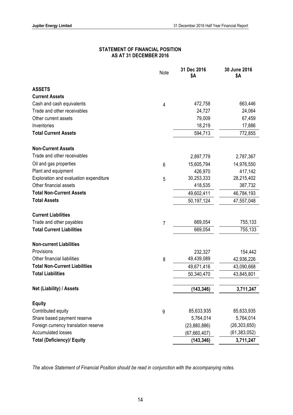### **STATEMENT OF FINANCIAL POSITION AS AT 31 DECEMBER 2016**

|                                        | Note           | 31 Dec 2016<br>\$Α | 30 June 2016<br>\$Α |
|----------------------------------------|----------------|--------------------|---------------------|
| <b>ASSETS</b>                          |                |                    |                     |
| <b>Current Assets</b>                  |                |                    |                     |
| Cash and cash equivalents              | 4              | 472,758            | 663,446             |
| Trade and other receivables            |                | 24,727             | 24,064              |
| Other current assets                   |                | 79,009             | 67,459              |
| Inventories                            |                | 18,219             | 17,886              |
| <b>Total Current Assets</b>            |                | 594,713            | 772,855             |
| <b>Non-Current Assets</b>              |                |                    |                     |
| Trade and other receivables            |                | 2,897,779          | 2,787,367           |
| Oil and gas properties                 | 6              | 15,605,794         | 14,976,550          |
| Plant and equipment                    |                | 426,970            | 417,142             |
| Exploration and evaluation expenditure | 5              | 30,253,333         | 28,215,402          |
| Other financial assets                 |                | 418,535            | 387,732             |
| <b>Total Non-Current Assets</b>        |                | 49,602,411         | 46,784,193          |
| <b>Total Assets</b>                    |                | 50,197,124         | 47,557,048          |
| <b>Current Liabilities</b>             |                |                    |                     |
| Trade and other payables               | $\overline{7}$ | 669,054            | 755,133             |
| <b>Total Current Liabilities</b>       |                | 669,054            | 755,133             |
| <b>Non-current Liabilities</b>         |                |                    |                     |
| Provisions                             |                | 232,327            | 154,442             |
| Other financial liabilities            | 8              | 49,439,089         | 42,936,226          |
| <b>Total Non-Current Liabilities</b>   |                | 49,671,416         | 43,090,668          |
| <b>Total Liabilities</b>               |                | 50,340,470         | 43,845,801          |
| Net (Liability) / Assets               |                | (143, 346)         | 3,711,247           |
| <b>Equity</b>                          |                |                    |                     |
| Contributed equity                     | 9              | 85,633,935         | 85,633,935          |
| Share based payment reserve            |                | 5,764,014          | 5,764,014           |
| Foreign currency translation reserve   |                | (23,880,886)       | (26, 303, 650)      |
| <b>Accumulated losses</b>              |                | (67,660,407)       | (61, 383, 052)      |
| <b>Total (Deficiency)/ Equity</b>      |                | (143, 346)         | 3,711,247           |

*The above Statement of Financial Position should be read in conjunction with the accompanying notes.*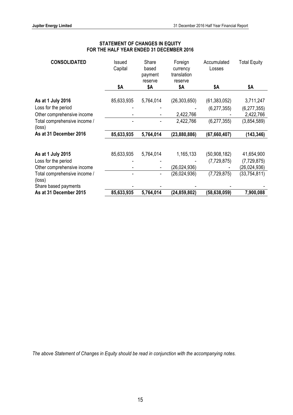### **STATEMENT OF CHANGES IN EQUITY FOR THE HALF YEAR ENDED 31 DECEMBER 2016**

| <b>CONSOLIDATED</b>                               | Issued<br>Capital | Share<br>based<br>payment<br>reserve | Foreign<br>currency<br>translation<br>reserve | Accumulated<br>Losses | <b>Total Equity</b>        |
|---------------------------------------------------|-------------------|--------------------------------------|-----------------------------------------------|-----------------------|----------------------------|
|                                                   | \$Α               | \$Α                                  | \$Α                                           | \$Α                   | \$Α                        |
| As at 1 July 2016                                 | 85,633,935        | 5,764,014                            | (26, 303, 650)                                | (61, 383, 052)        | 3,711,247                  |
| Loss for the period<br>Other comprehensive income |                   |                                      | 2,422,766                                     | (6, 277, 355)         | (6, 277, 355)<br>2,422,766 |
| Total comprehensive income /<br>(loss)            |                   |                                      | 2,422,766                                     | (6, 277, 355)         | (3,854,589)                |
| As at 31 December 2016                            | 85,633,935        | 5,764,014                            | (23,880,886)                                  | (67, 660, 407)        | (143, 346)                 |
|                                                   |                   |                                      |                                               |                       |                            |
| As at 1 July 2015                                 | 85,633,935        | 5,764,014                            | 1,165,133                                     | (50,908,182)          | 41,654,900                 |
| Loss for the period                               |                   |                                      |                                               | (7,729,875)           | (7, 729, 875)              |
| Other comprehensive income                        |                   | $\overline{a}$                       | (26,024,936)                                  |                       | (26,024,936)               |
| Total comprehensive income /<br>(loss)            |                   |                                      | (26, 024, 936)                                | (7,729,875)           | (33, 754, 811)             |
| Share based payments                              |                   |                                      |                                               |                       |                            |
| As at 31 December 2015                            | 85,633,935        | 5,764,014                            | (24, 859, 802)                                | (58, 638, 059)        | 7,900,088                  |

*The above Statement of Changes in Equity should be read in conjunction with the accompanying notes.*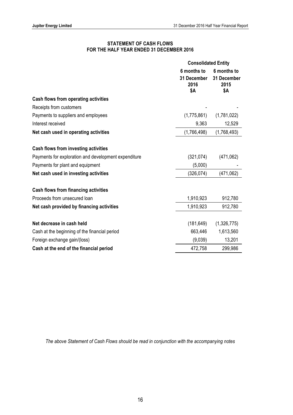### **STATEMENT OF CASH FLOWS FOR THE HALF YEAR ENDED 31 DECEMBER 2016**

|                                                      | <b>Consolidated Entity</b>                |                                           |
|------------------------------------------------------|-------------------------------------------|-------------------------------------------|
|                                                      | 6 months to<br>31 December<br>2016<br>\$Α | 6 months to<br>31 December<br>2015<br>\$Α |
| <b>Cash flows from operating activities</b>          |                                           |                                           |
| Receipts from customers                              |                                           |                                           |
| Payments to suppliers and employees                  | (1,775,861)                               | (1,781,022)                               |
| Interest received                                    | 9,363                                     | 12,529                                    |
| Net cash used in operating activities                | (1,766,498)                               | (1,768,493)                               |
| Cash flows from investing activities                 |                                           |                                           |
| Payments for exploration and development expenditure | (321, 074)                                | (471,062)                                 |
| Payments for plant and equipment                     | (5,000)                                   |                                           |
| Net cash used in investing activities                | (326, 074)                                | (471,062)                                 |
| <b>Cash flows from financing activities</b>          |                                           |                                           |
| Proceeds from unsecured loan                         | 1,910,923                                 | 912,780                                   |
| Net cash provided by financing activities            | 1,910,923                                 | 912,780                                   |
| Net decrease in cash held                            | (181, 649)                                | (1,326,775)                               |
| Cash at the beginning of the financial period        | 663,446                                   | 1,613,560                                 |
| Foreign exchange gain/(loss)                         | (9,039)                                   | 13,201                                    |
| Cash at the end of the financial period              | 472,758                                   | 299,986                                   |

*The above Statement of Cash Flows should be read in conjunction with the accompanying notes*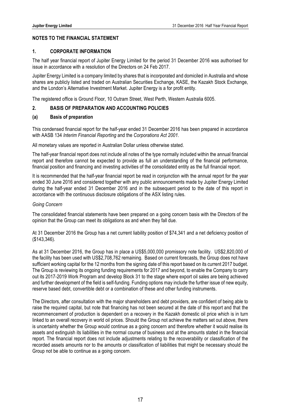### **NOTES TO THE FINANCIAL STATEMENT**

### **1. CORPORATE INFORMATION**

The half year financial report of Jupiter Energy Limited for the period 31 December 2016 was authorised for issue in accordance with a resolution of the Directors on 24 Feb 2017.

Jupiter Energy Limited is a company limited by shares that is incorporated and domiciled in Australia and whose shares are publicly listed and traded on Australian Securities Exchange, KASE, the Kazakh Stock Exchange, and the London's Alternative Investment Market. Jupiter Energy is a for profit entity.

The registered office is Ground Floor, 10 Outram Street, West Perth, Western Australia 6005.

### **2. BASIS OF PREPARATION AND ACCOUNTING POLICIES**

### **(a) Basis of preparation**

This condensed financial report for the half-year ended 31 December 2016 has been prepared in accordance with AASB 134 *Interim Financial Reporting* and the *Corporations Act 2001.*

All monetary values are reported in Australian Dollar unless otherwise stated.

The half-year financial report does not include all notes of the type normally included within the annual financial report and therefore cannot be expected to provide as full an understanding of the financial performance, financial position and financing and investing activities of the consolidated entity as the full financial report.

It is recommended that the half-year financial report be read in conjunction with the annual report for the year ended 30 June 2016 and considered together with any public announcements made by Jupiter Energy Limited during the half-year ended 31 December 2016 and in the subsequent period to the date of this report in accordance with the continuous disclosure obligations of the ASX listing rules.

### *Going Concern*

The consolidated financial statements have been prepared on a going concern basis with the Directors of the opinion that the Group can meet its obligations as and when they fall due.

At 31 December 2016 the Group has a net current liability position of \$74,341 and a net deficiency position of (\$143,346).

As at 31 December 2016, the Group has in place a US\$5,000,000 promissory note facility. US\$2,820,000 of the facility has been used with US\$2,708,762 remaining. Based on current forecasts, the Group does not have sufficient working capital for the 12 months from the signing date of this report based on its current 2017 budget. The Group is reviewing its ongoing funding requirements for 2017 and beyond, to enable the Company to carry out its 2017-2019 Work Program and develop Block 31 to the stage where export oil sales are being achieved and further development of the field is self-funding. Funding options may include the further issue of new equity, reserve based debt, convertible debt or a combination of these and other funding instruments.

The Directors, after consultation with the major shareholders and debt providers, are confident of being able to raise the required capital, but note that financing has not been secured at the date of this report and that the recommencement of production is dependent on a recovery in the Kazakh domestic oil price which is in turn linked to an overall recovery in world oil prices. Should the Group not achieve the matters set out above, there is uncertainty whether the Group would continue as a going concern and therefore whether it would realise its assets and extinguish its liabilities in the normal course of business and at the amounts stated in the financial report. The financial report does not include adjustments relating to the recoverability or classification of the recorded assets amounts nor to the amounts or classification of liabilities that might be necessary should the Group not be able to continue as a going concern.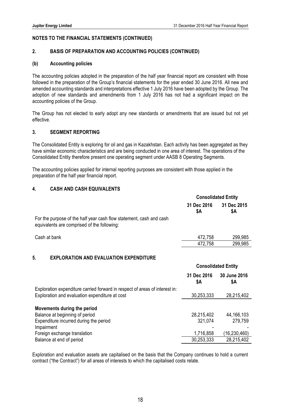### **2. BASIS OF PREPARATION AND ACCOUNTING POLICIES (CONTINUED)**

#### **(b) Accounting policies**

The accounting policies adopted in the preparation of the half year financial report are consistent with those followed in the preparation of the Group's financial statements for the year ended 30 June 2016. All new and amended accounting standards and interpretations effective 1 July 2016 have been adopted by the Group. The adoption of new standards and amendments from 1 July 2016 has not had a significant impact on the accounting policies of the Group.

The Group has not elected to early adopt any new standards or amendments that are issued but not yet effective.

### **3. SEGMENT REPORTING**

The Consolidated Entity is exploring for oil and gas in Kazakhstan. Each activity has been aggregated as they have similar economic characteristics and are being conducted in one area of interest. The operations of the Consolidated Entity therefore present one operating segment under AASB 8 Operating Segments.

The accounting policies applied for internal reporting purposes are consistent with those applied in the preparation of the half year financial report.

### **4. CASH AND CASH EQUIVALENTS**

|                                                                                                                               | <b>Consolidated Entity</b> |                            |
|-------------------------------------------------------------------------------------------------------------------------------|----------------------------|----------------------------|
|                                                                                                                               | 31 Dec 2016<br>\$Α         | 31 Dec 2015<br>\$Α         |
| For the purpose of the half year cash flow statement, cash and cash<br>equivalents are comprised of the following:            |                            |                            |
| Cash at bank                                                                                                                  | 472,758                    | 299,985                    |
|                                                                                                                               | 472,758                    | 299,985                    |
| 5.<br><b>EXPLORATION AND EVALUATION EXPENDITURE</b>                                                                           |                            | <b>Consolidated Entity</b> |
|                                                                                                                               | 31 Dec 2016<br>\$Α         | 30 June 2016<br>\$Α        |
| Exploration expenditure carried forward in respect of areas of interest in:<br>Exploration and evaluation expenditure at cost | 30,253,333                 | 28,215,402                 |
| Movements during the period<br>Balance at beginning of period<br>Expenditure incurred during the period                       | 28,215,402<br>321,074      | 44, 166, 103<br>279,759    |
| Impairment<br>Foreign exchange translation                                                                                    | 1,716,858                  | (16, 230, 460)             |

Exploration and evaluation assets are capitalised on the basis that the Company continues to hold a current contract ("the Contract") for all areas of interests to which the capitalised costs relate.

Balance at end of period 30,253,333 28,215,402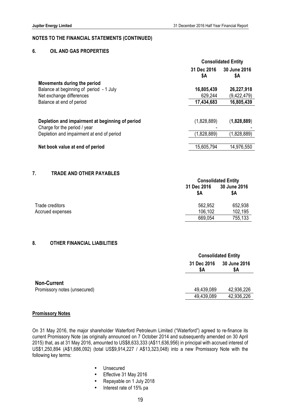### **6. OIL AND GAS PROPERTIES**

|                                                 |                    | <b>Consolidated Entity</b> |  |
|-------------------------------------------------|--------------------|----------------------------|--|
|                                                 | 31 Dec 2016<br>\$Α | 30 June 2016<br>\$Α        |  |
| Movements during the period                     |                    |                            |  |
| Balance at beginning of period - 1 July         | 16,805,439         | 26,227,918                 |  |
| Net exchange differences                        | 629,244            | (9,422,479)                |  |
| Balance at end of period                        | 17,434,683         | 16,805,439                 |  |
|                                                 |                    |                            |  |
| Depletion and impairment at beginning of period | (1,828,889)        | (1,828,889)                |  |
| Charge for the period / year                    |                    |                            |  |
| Depletion and impairment at end of period       | (1,828,889)        | (1,828,889)                |  |
|                                                 |                    |                            |  |
| Net book value at end of period                 | 15,605,794         | 14,976,550                 |  |
|                                                 |                    |                            |  |

#### **7. TRADE AND OTHER PAYABLES**

| <b>Consolidated Entity</b> |                     |
|----------------------------|---------------------|
| 31 Dec 2016<br>\$A         | 30 June 2016<br>\$Α |
| 562,952                    | 652,938             |
| 106,102                    | 102,195             |
| 669,054                    | 755,133             |
|                            |                     |

### **8. OTHER FINANCIAL LIABILITIES**

|                              |                    | <b>Consolidated Entity</b> |  |
|------------------------------|--------------------|----------------------------|--|
|                              | 31 Dec 2016<br>\$A | <b>30 June 2016</b><br>\$Α |  |
| <b>Non-Current</b>           |                    |                            |  |
| Promissory notes (unsecured) | 49,439,089         | 42,936,226                 |  |
|                              | 49,439,089         | 42,936,226                 |  |
|                              |                    |                            |  |

#### **Promissory Notes**

On 31 May 2016, the major shareholder Waterford Petroleum Limited ("Waterford") agreed to re-finance its current Promissory Note (as originally announced on 7 October 2014 and subsequently amended on 30 April 2015) that, as at 31 May 2016, amounted to US\$8,633,333 (A\$11,636,956) in principal with accrued interest of US\$1,250,894 (A\$1,686,092) (total US\$9,914,227 / A\$13,323,048) into a new Promissory Note with the following key terms:

- Unsecured
- Effective 31 May 2016
- Repayable on 1 July 2018
- Interest rate of 15% pa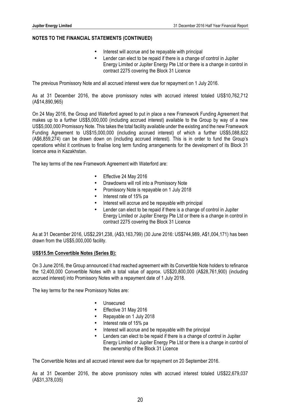- Interest will accrue and be repayable with principal
- Lender can elect to be repaid if there is a change of control in Jupiter Energy Limited or Jupiter Energy Pte Ltd or there is a change in control in contract 2275 covering the Block 31 Licence

The previous Promissory Note and all accrued interest were due for repayment on 1 July 2016.

As at 31 December 2016, the above promissory notes with accrued interest totaled US\$10,762,712 (A\$14,890,965)

On 24 May 2016, the Group and Waterford agreed to put in place a new Framework Funding Agreement that makes up to a further US\$5,000,000 (including accrued interest) available to the Group by way of a new US\$5,000,000 Promissory Note. This takes the total facility available under the existing and the new Framework Funding Agreement to US\$15,000,000 (including accrued interest) of which a further US\$5,088,822 (A\$6,859,274) can be drawn down on (including accrued interest). This is in order to fund the Group's operations whilst it continues to finalise long term funding arrangements for the development of its Block 31 licence area in Kazakhstan.

The key terms of the new Framework Agreement with Waterford are:

- Effective 24 May 2016
- Drawdowns will roll into a Promissory Note
- Promissory Note is repayable on 1 July 2018
- Interest rate of 15% pa
- Interest will accrue and be repayable with principal
- Lender can elect to be repaid if there is a change of control in Jupiter Energy Limited or Jupiter Energy Pte Ltd or there is a change in control in contract 2275 covering the Block 31 Licence

As at 31 December 2016, US\$2,291,238, (A\$3,163,799) (30 June 2016: US\$744,989, A\$1,004,171) has been drawn from the US\$5,000,000 facility.

### **US\$15.5m Convertible Notes (Series B):**

On 3 June 2016, the Group announced it had reached agreement with its Convertible Note holders to refinance the 12,400,000 Convertible Notes with a total value of approx. US\$20,800,000 (A\$28,761,900) (including accrued interest) into Promissory Notes with a repayment date of 1 July 2018.

The key terms for the new Promissory Notes are:

- Unsecured
- Effective 31 May 2016
- Repayable on 1 July 2018
- Interest rate of 15% pa
- Interest will accrue and be repayable with the principal
- Lenders can elect to be repaid if there is a change of control in Jupiter Energy Limited or Jupiter Energy Pte Ltd or there is a change in control of the ownership of the Block 31 Licence

The Convertible Notes and all accrued interest were due for repayment on 20 September 2016.

As at 31 December 2016, the above promissory notes with accrued interest totaled US\$22,679,037 (A\$31,378,035)